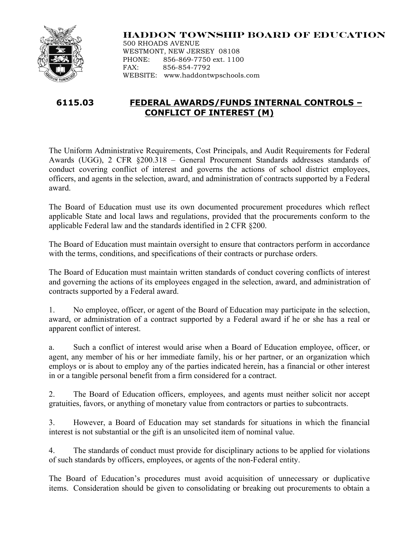

## **HADDON TOWNSHIP BOARD OF EDUCATION**

500 RHOADS AVENUE WESTMONT, NEW JERSEY 08108 PHONE: 856-869-7750 ext. 1100 FAX: 856-854-7792 WEBSITE: www.haddontwpschools.com

## **6115.03 FEDERAL AWARDS/FUNDS INTERNAL CONTROLS – CONFLICT OF INTEREST (M)**

The Uniform Administrative Requirements, Cost Principals, and Audit Requirements for Federal Awards (UGG), 2 CFR §200.318 – General Procurement Standards addresses standards of conduct covering conflict of interest and governs the actions of school district employees, officers, and agents in the selection, award, and administration of contracts supported by a Federal award.

The Board of Education must use its own documented procurement procedures which reflect applicable State and local laws and regulations, provided that the procurements conform to the applicable Federal law and the standards identified in 2 CFR §200.

The Board of Education must maintain oversight to ensure that contractors perform in accordance with the terms, conditions, and specifications of their contracts or purchase orders.

The Board of Education must maintain written standards of conduct covering conflicts of interest and governing the actions of its employees engaged in the selection, award, and administration of contracts supported by a Federal award.

1. No employee, officer, or agent of the Board of Education may participate in the selection, award, or administration of a contract supported by a Federal award if he or she has a real or apparent conflict of interest.

a. Such a conflict of interest would arise when a Board of Education employee, officer, or agent, any member of his or her immediate family, his or her partner, or an organization which employs or is about to employ any of the parties indicated herein, has a financial or other interest in or a tangible personal benefit from a firm considered for a contract.

2. The Board of Education officers, employees, and agents must neither solicit nor accept gratuities, favors, or anything of monetary value from contractors or parties to subcontracts.

3. However, a Board of Education may set standards for situations in which the financial interest is not substantial or the gift is an unsolicited item of nominal value.

4. The standards of conduct must provide for disciplinary actions to be applied for violations of such standards by officers, employees, or agents of the non-Federal entity.

The Board of Education's procedures must avoid acquisition of unnecessary or duplicative items. Consideration should be given to consolidating or breaking out procurements to obtain a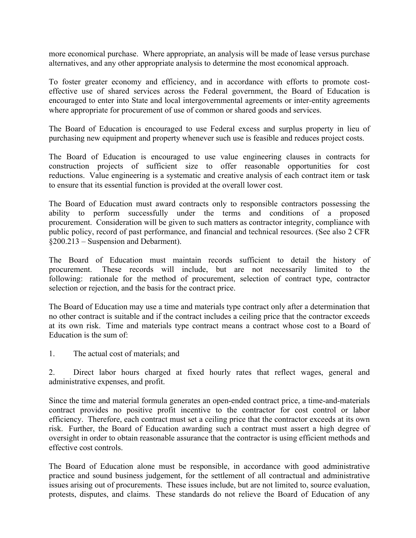more economical purchase. Where appropriate, an analysis will be made of lease versus purchase alternatives, and any other appropriate analysis to determine the most economical approach.

To foster greater economy and efficiency, and in accordance with efforts to promote costeffective use of shared services across the Federal government, the Board of Education is encouraged to enter into State and local intergovernmental agreements or inter-entity agreements where appropriate for procurement of use of common or shared goods and services.

The Board of Education is encouraged to use Federal excess and surplus property in lieu of purchasing new equipment and property whenever such use is feasible and reduces project costs.

The Board of Education is encouraged to use value engineering clauses in contracts for construction projects of sufficient size to offer reasonable opportunities for cost reductions. Value engineering is a systematic and creative analysis of each contract item or task to ensure that its essential function is provided at the overall lower cost.

The Board of Education must award contracts only to responsible contractors possessing the ability to perform successfully under the terms and conditions of a proposed procurement. Consideration will be given to such matters as contractor integrity, compliance with public policy, record of past performance, and financial and technical resources. (See also 2 CFR §200.213 – Suspension and Debarment).

The Board of Education must maintain records sufficient to detail the history of procurement. These records will include, but are not necessarily limited to the following: rationale for the method of procurement, selection of contract type, contractor selection or rejection, and the basis for the contract price.

The Board of Education may use a time and materials type contract only after a determination that no other contract is suitable and if the contract includes a ceiling price that the contractor exceeds at its own risk. Time and materials type contract means a contract whose cost to a Board of Education is the sum of:

1. The actual cost of materials; and

2. Direct labor hours charged at fixed hourly rates that reflect wages, general and administrative expenses, and profit.

Since the time and material formula generates an open-ended contract price, a time-and-materials contract provides no positive profit incentive to the contractor for cost control or labor efficiency. Therefore, each contract must set a ceiling price that the contractor exceeds at its own risk. Further, the Board of Education awarding such a contract must assert a high degree of oversight in order to obtain reasonable assurance that the contractor is using efficient methods and effective cost controls.

The Board of Education alone must be responsible, in accordance with good administrative practice and sound business judgement, for the settlement of all contractual and administrative issues arising out of procurements. These issues include, but are not limited to, source evaluation, protests, disputes, and claims. These standards do not relieve the Board of Education of any